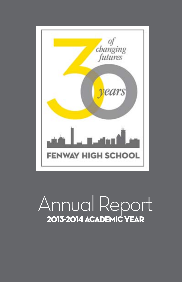

# Annual Report 2013-2014 Academic Year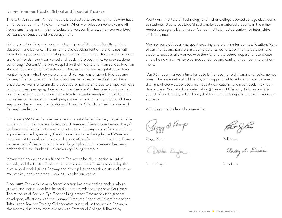#### A note from our Head of School and Board of Trustees

This 30th Anniversary Annual Report is dedicated to the many friends who have enriched our community over the years. When we reflect on Fenway's growth from a small program in 1983 to today, it is you, our friends, who have provided constancy of support and encouragement.

Building relationships has been an integral part of the school's culture in the classroom and beyond. The nurturing and development of relationships with individual supporters, community partners and foundations have shaped who we are. Our friends have been varied and loyal. In the beginning, Fenway students cut through Boston Children's Hospital on their way to and from school. Rudman Ham, Vice President of Operations at Boston's Children's Hospital at the time, wanted to learn who they were and what Fenway was all about. Rud became Fenway's first co-chair of the Board and has remained a steadfast friend ever since. As Fenway's program developed, other partners helped to shape Fenway's curriculum and pedagogy. Friends such as the late Vito Perrone, Rud's co-chair and progressive educator, worked on teacher development; Facing History and Ourselves collaborated in developing a social justice curriculum for which Fenway is well known; and the Coalition of Essential Schools guided the shape of Fenway's pedagogy.

In the early 1990's, as Fenway became more established, Fenway began to raise funds from foundations and individuals. These new friends gave Fenway the gift to dream and the ability to seize opportunities. Fenway's vision for its students expanded as we began using the city as a classroom during Project Week and reaching out to local businesses and organizations for senior internships. Fenway became part of the national middle college high school movement becoming embedded in the Bunker Hill Community College campus.

Mayor Menino was an early friend to Fenway as he, the superintendent of schools, and the Boston Teachers' Union worked with Fenway to develop the pilot school model, giving Fenway and other pilot schools flexibility and autonomy over key decision areas enabling us to be innovative.

Since 1998, Fenway's Ipswich Street location has provided an anchor where growth and maturity could take hold, and more relationships have flourished. The Museum of Science Eye Opener Program for Crossroads 10th graders developed; affiliations with the Harvard Graduate School of Education and the Tufts Urban Teacher Training Collaborative put student teachers in Fenway's classrooms; dual enrollment classes with Emmanuel College, followed by

Wentworth Institute of Technology and Fisher College opened college classrooms to students; Blue Cross Blue Shield employees mentored students in the junior Ventures program; Dana Farber Cancer Institute hosted seniors for internships; and many more.

Much of our 30th year was spent securing and planning for our new location. Many of our friends and partners, including parents, donors, community partners, and students successfully worked with the city and the school department to create a new home which will give us independence and control of our learning environment.

Our 30th year marked a time for us to bring together old friends and welcome new ones. This wide network of friends, who support public education and believe in the right of every student to a high quality education, have given back in extraordinary ways. We called our celebration 30 Years of Changing Futures and it is you, all of our friends, old and new, that have created brighter futures for Fenway's students.

With deep gratitude and appreciation,

Seggy D. Kemp

Peggy Kemp Bob Ross

sthe Engler

Dottie Engler Sally Dias

Bally L. Dias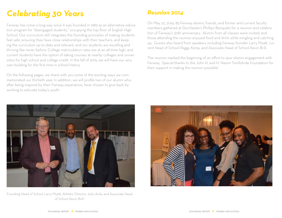# *Celebrating 30 Years*

Fenway has come a long way since it was founded in 1983 as an alternative education program for "disengaged students," occupying the top floor of English High School. Our curriculum still integrates the founding principles of making students feel safe, ensuring they have close relationships with their teachers, and keeping the curriculum up-to-date and relevant, and our students are excelling and thriving like never before. College matriculation rates are at an all-time high, and current students have the option of taking courses at nearby colleges and universities for high school and college credit. In the fall of 2015, we will have our very own building for the first time in school history.

On the following pages, we share with you some of the exciting ways we commemorated our thirtieth year. In addition, we will profile two of our alumni who, after being inspired by their Fenway experience, have chosen to give back by working to educate today's youth.



Founding Head of School Larry Myatt, Athletic Director Julio Avila, and Associate Head of School Kevin Brill.

### *Reunion 2014*

On May 22, 2014, 85 Fenway alumni, friends, and former and current faculty members gathered at Dorchester's Phillips Banquets for a reunion and celebration of Fenway's 30th anniversary. Alumni from all classes were invited, and those attending the reunion enjoyed food and drink while mingling and catching up. Guests also heard from speakers including Fenway founder Larry Myatt, current Head of School Peggy Kemp, and Associate Head of School Kevin Brill.

The reunion marked the beginning of an effort to spur alumni engagement with Fenway. Special thanks to the John H. and H. Naomi Tomfohrde Foundation for their support in making the reunion possible!

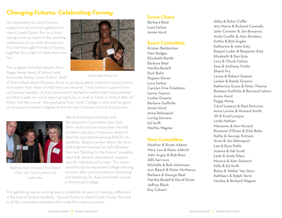### *Changing Futures: Celebrating Fenway*

On September 25, 2013, Fenway supporters old and new gathered at Island Creek Oyster Bar for a fundraising event as a part of the yearlong celebration of our 30th Anniversary. The event brought friends of Fenway together for a night of celebration and fun!

The program included remarks from Peggy Kemp, Head of School, and Antoinetta Kelley, Class of 2007. Both



Antoinetta Kelley '07

of them talked about Fenway's focus on giving students important opportunities to broaden their ideas of what they can become. "I had so much support from my Fenway teachers. And at some point I started to realize that I had potential and that maybe my world wasn't going to be so small or harsh or limited after all," Kelley told the crowd. She graduated from Smith College in 2011 and has gone on to pursue a master's degree at the Harvard Graduate School of Education.



Rudman Ham, Fenway's first Board Chair, with Carol Lazarus and Judie Ham

Words from board member and Development Committee chair Dick Belin reinforced the important role that private funds play in Fenway's ability to level the educational playing field for its students. Board member Betsy Van Dorn and longtime Fenway Fan John Brodeur then led "Bidding for the Future," a paddle raise that allowed attendees to support specific initiatives at Fenway. The event raised funds for expanded college advising services, after school academic mentoring, and textbooks for dual enrollment classes at Emmanuel College.

This gathering was an exciting way to celebrate 30 years of making a difference in the lives of Boston students. Special thanks to Island Creek Oyster Bar and to all the committee members who made the event a success!

### **Event Chairs**

Barbara Beal Lora Farkas Annie Hurd

### **Event Commi!ee**

Kristen Balderston Mari Badger Elizabeth Bartle Barbara Beal Martha Bedell Dick Belin Pegeen Doran Lora Farkas Carolyn Fine Friedman Lynne Gaynor Leslee Greene Barbara Guilfoile Annie Hurd Anna Rehnquist Loring Stevens **Ed Swift** Martha Wagner

### **Host Commi!ee**

Heather & Bryan Adams Mary Lee & Peter Aldrich John Argos & Bob Ross ARS Services Michelle & Bob Atchinson Ann Beach & Peter McManus Barbara & George Beal Martha Bedell & David Dryer Jeffrey Black Kay Calvert

Abby & Peter Coffin Ann Marie & Richard Connolly John Cormier & Jim Bonanno Andy Coville & John Brodeur Dottie & Bob Engler Katharine & John Esty Raquel Leder & Benjamin Esty Elizabeth & Dan Esty Lora & Chuck Farkas Sara & Anthony Fiotto Shanti Fry Lynne & Robert Gaynor Leslee & Randy Greene Katherine Gross & Peter Thorne Barbara Guilfoile & Bernard Lebow Annie Hurd Peggy Kemp Carol Lazarus & Paul Donovan Anne Levine & Howard Smith Jill & Fred Lovejoy Linda Nathan Marianne & Ken Novack Rosanne O'Brien & Dick Belin Kathy & George Putnam Anna & Jim Rehnquist Lee & Russ Robb Joanna & Hal Scott Leah & Andy Silipo Monica & Alan Steinert Sally & Ed Swift Betsy & Walter Van Dorn Kathleen & Ralph Verni Martha & Richard Wagner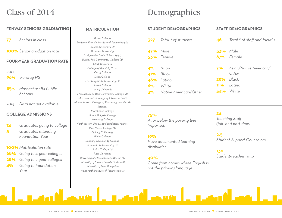## Class of 2014

### **FENWAY SENIORS GRADUATING**

**77** *Seniors in class*

**100%** *Senior graduation rate*

#### **FOUR-YEAR GRADUATION RATE**

*2013*

**96%** *Fenway HS*

- **85%** *Massachuse!s Public Schools*
- *2014 Data not yet available*

### **COLLEGE ADMISSIONS**

- **74** *Graduates going to college*
- **3** *Graduates a!ending Foundation Year*
- **100%***Matriculation rate*
- **68%** *Going to 4-year colleges*
- **28%** *Going to 2-year colleges*
- **4%** *Going to Foundation Year*

### **MATRICULATION**

*Bates College Benjamin Franklin Institute of Technology (2) Boston University (2) Brandeis University Bridgewater State University (2) Bunker Hill Community College (4) Clark University College of the Holy Cross Curry College Dean College Fitchburg State University (5) Lasell College Lesley University Massachuse!s Bay Community College (4) Massachuse!s College of Liberal Arts (4) Massachuse!s College of Pharmacy and Health Sciences Morehouse College Mount Holyoke College Newbury College Northeastern University Foundation Year (3) Pine Manor College (9) Quincy College (9) Rivier College Roxbury Community College Salem State University (2) Smith College (2) Tu"s University University of Massachuse!s Boston (9) University of Massachuse!s Dartmouth University of New Hampshire Wentworth Institute of Technology (3)*

## **Demographics**

### **STUDENT DEMOGRAPHICS**

|                 | 327 Total # of students         |
|-----------------|---------------------------------|
| <b>47%</b> Male |                                 |
|                 | 53% Female                      |
| 4% Asian        |                                 |
|                 | 41% Black                       |
|                 | <b>46%</b> Latino               |
|                 | 6% White                        |
|                 | <b>3%</b> Native American/Other |

### **75%** *At or below the poverty line (reported)*

### **19%**

*Have documented learning disabilities*

### **40%**

*Come from homes where English is not the primary language*

### **STAFF DEMOGRAPHICS**

|                 | <b>46</b> Total # of staff and facutly |
|-----------------|----------------------------------------|
| <b>33%</b> Male | 67% Female                             |
|                 | 7% Asian/Native American/<br>$O$ ther  |
|                 | $28%$ Black                            |
|                 | 11% Latino                             |
|                 | 54% White                              |

**24** *Teaching Staff (full- and part-time)*

**2.5** *Student Support Counselors*

**13:1** *Student-teacher ratio*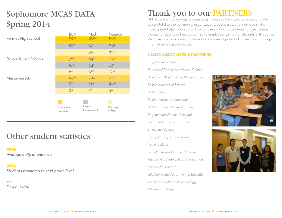## Sophomore MCAS DATA Spring 2014

|                              | ELA                     | Math                 | Science             |
|------------------------------|-------------------------|----------------------|---------------------|
| Fenway High School           | <b>90%</b>              | 80%                  | <b>59%</b>          |
|                              | $10%$                   | 16%                  | 38%                 |
|                              | -                       | $4^{\%}$             | 5 <sup>%</sup>      |
| <b>Boston Public Schools</b> | 76%                     | 64%                  | $47^{\%}$           |
|                              | 18%                     | $24^{\%}$            | 41%                 |
|                              | 6%                      | $12^{\%}$            | $12^{\%}$           |
| Massachusetts                | 90%                     | <b>79%</b>           | 71%                 |
|                              | 8%                      | 15%                  | 24%                 |
|                              | 2%                      | 7%                   | 5 <sup>%</sup>      |
|                              |                         |                      |                     |
|                              | Advanced/<br>Proficient | Needs<br>Improvement | Warning/<br>Failing |

## Other student statistics

**95%**

*Average daily a!endance*

**98%** *Students promoted to next grade level*

**1%**

*Dropout rate*

## Thank you to our PARTNERS

At the core of the Fenway experience is the use of the city as a classroom. We are grateful to the community organizations, businesses, and individuals who have opened their doors to us. Our partners allow our students to take college classes for dual enrollment credit, send employees to mentor students in the Junior Ventures class, and give our students a glimpse at potential career fields through internships and job shadows.

### **CLOSE ASSOCIATES & PARTNERS**

#### *Amphibious Achievers*

*Beth Israel Deaconess Medical Center Blue Cross Blue Shield of Massachuse!s Boston Museum of Science Boston Bikes Boston Partners in Education Boston Scholar Athlete Program Brigham and Women's Hospital Dana-Farber Cancer Institute Emmanuel College Facing History and Ourselves Fisher College Isabella Stewart Gardner Museum Harvard Graduate School of Education Red Sox Foundation Tu"s University Department of Education Wentworth Institute of Technology Wheelock College*



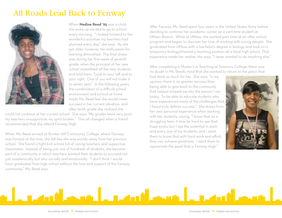### All Roads Lead Back to Fenway



When **Nadine Reed '95** was a child, she woke up excited to go to school every morning. "I looked forward to the wonderful activities my teachers had planned every day," she says. As she got older, however, her enthusiasm for learning diminished. The final straw was during her first week of seventh grade, when the principal at her new school assembled all the new students and told them, "Look to your left and to your right. One of you will not make it to senior year." In the following years, the combination of a difficult school environment and turmoil at home made Ms. Reed feel she would never succeed in her current situation, and after tenth grade she realized she

could not continue at her current school. She says, "My grades were very poor; my teachers unsupportive; my spirit broken." This all changed when a friend recommended that she attend Fenway High.

When Ms. Reed arrived at Bunker Hill Community College, where Fenway was housed at the time, she felt like she was worlds away from her previous school. She found a tight-knit school full of caring teachers and supportive classmates. Instead of being just one of hundreds of students, she became part of a community in which teachers wanted their students to succeed not just academically, but also socially and emotionally. "I don't think I would have graduated from high school without the love and support of the Fenway community," Ms. Reed says.

After Fenway, Ms. Reed spent four years in the United States Army before deciding to continue her academic career as a part-time student at UMass Boston. While at UMass, she worked part time at an after school program and began to discover her love of working with young people. She graduated from UMass with a bachelor's degree in biology and took on a temporary biology/chemistry teaching position at a local high school. That experience made her realize, she says, "I never wanted to do anything else."

After completing a Master's in Teaching at Simmons College, there was no doubt in Ms. Reed's mind that she wanted to return to the place that

had done so much for her. She says, "In my opinion, there is no greater success than being able to give back to the community that helped shaped me into the person I am today. To be able to educate students who have experienced many of the challenges that I faced truly defines success." She draws from her own personal experience when working with her students, saying, "I know that as a struggling teen, it may be hard to see that hope exists, but I see the potential in each and every one of my students, and I want them to know that with hard work and effort, they can achieve greatness. I want them to appreciate the jewel that is Fenway High."



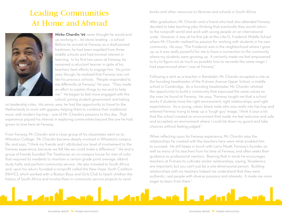## Leading Communities At Home and Abroad



**Mirko Chardin '99** never thought he would end up working in – let alone leading – a school. Before he arrived at Fenway as a disillusioned freshman, he had been expelled from three middle schools and had minimal interest in learning. In his first two years at Fenway, he remained a reluctant learner in spite of his teachers' best efforts to engage him. His junior year, though, he realized that Fenway was not like his previous schools. "People responded to me differently at Fenway," he says. "They made an effort to explain things to me and to help me." He began to feel more engaged with the school, joining student government and taking

on leadership roles. His senior year, he had the opportunity to travel to the Netherlands to work with gypsies, helping them to combine their traditional music with modern hip-hop – one of Mr. Chardin's passions to this day. That experience piqued his interest in exploring communities beyond the one he had grown to love here at Fenway.

From Fenway, Mr. Chardin and a close group of his classmates went on to Wheaton College. Mr. Chardin became deeply involved in Wheaton's campus life, and says, "I think my friends and I attributed our level of involvement to the Fenway experience, because we felt like we could make a difference." He and a group of friends founded The Treehouse, an on-campus house for men of color that required its residents to maintain a certain grade point average, attend study halls, and perform community service. He also traveled to South Africa and, upon his return, founded a nonprofit called the New Hope Youth Coalition (NHYC), which worked with a Boston Boys and Girls Club to teach children the history of South Africa and involve them in community service projects to send

books and other resources to libraries and schools in South Africa.

After graduation, Mr. Chardin and a friend who had also attended Fenway decided to take teaching jobs, thinking that eventually they would return to the nonprofit world and work with young people on an international scale. However, it was at his first job at the Lilla G. Frederick Middle School where Mr. Chardin realized his passion for working with students in his own community. He says, "The Frederick was in the neighborhood where I grew up, so it was really powerful for me to have a connection to the community where my students were growing up. It certainly made me feel empowered to try to figure out as much as possible how to recreate the same magic I had experienced when I was at Fenway."

Following a stint as a teacher in Randolph, Mr. Chardin accepted a role as the founding headmaster of the Putnam Avenue Upper School, a middle school in Cambridge. As a founding headmaster, Mr. Chardin relished the opportunity to build a community that espoused the same values as the ones he found at Fenway. He says, "Fenway taught me that a school works if students have the right environment, right relationships, and right expectations. As a young, urban, black male who was really into hip-hop and entered Fenway trying to keep up a 'tough guy' image, I think it says a lot that the school created an environment that made me feel welcome and safe and accepted, an environment where I could let down my guard and take chances without feeling judged."

When reflecting upon his Fenway experience, Mr. Chardin says the relationships he created with the teachers here were what enabled him to succeed. He still keeps in touch with Larry Myatt, Fenway's founder, as well as many of his teachers from his time at Fenway, and often seeks their guidance as professional mentors. Bearing that in mind, he encourages teachers at Putnam to cultivate similar relationships, saying, "Academics are important, but you can't just be a one-dimensional person. Building relationships with my teachers helped me understand that they were authentic, real people with diverse passions and interests. It made me more eager to learn from them."

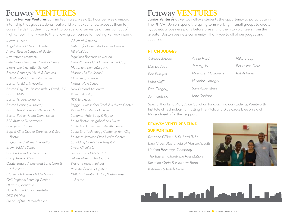## Fenway VENTURES

**Senior Fenway Ventures** culminates in a six week, 30 hour per week, unpaid internship that gives students real-world work experience, exposes them to career fields that they may want to pursue, and serves as a transition out of high school. Thank you to the following companies for hosting Fenway interns.

*Spaulding Cambridge Hospital Sweet Cheeks Q TechBoston – BPS & OIIT Tekilas Mexican Restaurant Warren-Presco! School Yale Appliance & Lighting YMCA – Greater Boston, Boston, East Alcatel-Lucent Angell Animal Medical Center Animal Rescue League of Boston Arrowstreet Architects Beth Israel Deaconess Medical Center Blackstone Innovation School Boston Center for Youth & Families - Roslindale Community Center Boston Children's Hospital Boston City TV - Boston Kids & Family TV Boston EMS Boston Green Academy Boston Housing Authority Boston Neighborhood Network TV Boston Public Health Commission BPS Athletic Department Bourgeois Clothes Boys & Girls Club of Dorchester & South Boston Brigham and Women's Hospital Brown Middle School Cambridge Police Department Camp Harbor View Castle Square Associated Early Care & Education Clarence Edwards Middle School CVS Regional Learning Center D'Fantasy Boutique Dana Farber Cancer Institute DBC Pri-Med*

*Friends of the Hernandez, Inc.*

*GB North America Habitat for Humanity, Greater Boston Hill Holliday Inquilinos Boricuas en Accion Li!le Wonders Child Care Center Corp Ma!ahunt Elementary K-5 Mission Hill K-8 School Museum of Science Nathan Hale School New England Aquarium Project Hip-Hop RDK Engineers Reggie Lewis Indoor Track & Athletic Center Respect for Life Book Store Sandman Auto Body & Repair South Boston Neighborhood House South End Community Health Center South End Technology Center @ Tent City Southern Jamaica Plain Health Center*

Fenway VENTURES

**Junior Ventures** at Fenway allows students the opportunity to participate in The PITCH. Juniors spend the spring term working in small groups to create hypothetical business plans before presenting them to volunteers from the Greater Boston business community. Thank you to all of our judges and coaches.

#### **PITCH JUDGES**

| Sabrina Antoine    | Annie Hurd        | Mike Stauff    |
|--------------------|-------------------|----------------|
| Lisa Badeau        | Jeremy Jo         | Betsy Van Dorn |
| <b>Ben Bungert</b> | Margaret McGovern | Ralph Verni    |
| Peter Coffin       | Nicholas Naraghi  |                |
| Dan Gregory        | Sam Rubenstein    |                |
| John Guthrie       | Kate Santoro      |                |

Special thanks to Mary Alice Callahan for coaching our students, Wentworth Institute of Technology for hosting The Pitch, and Blue Cross Blue Shield of Massachusetts for their support.

### **FENWAY VENTURES FUND SUPPORTERS**

*Rosanne O'Brien & Richard Belin Blue Cross Blue Shield of Massachuse!s Horizon Beverage Company The Eastern Charitable Foundation Rosalind Gorin & Ma!hew Budd Kathleen & Ralph Verni*





*Boston*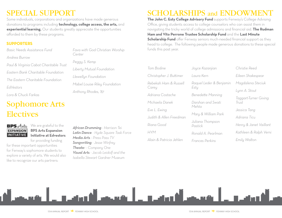## SPECIAL SUPPORT

Some individuals, corporations and organizations have made generous donations to programs including **technology, college access, the arts,** and **experiential learning.** Our students greatly appreciate the opportunities afforded to them by these programs.

### **SUPPORTERS**

*Basic Needs Assistance Fund Andrea Burrow Paul & Virginia Cabot Charitable Trust Eastern Bank Charitable Foundation The Eastern Charitable Foundation EdVestors*

*Lora & Chuck Farkas*

# Sophomore Arts **Electives**

**BPS** Arts We are grateful to the **EXPANSION BPS Arts Expansion INITIATIVE Initiative at Edvestors** for providing funding

for these important opportunities for Fenway's sophomore students to explore a variety of arts. We would also like to recognize our arts partners:

*Fava with God Christian Worship Center Peggy S. Kemp Liberty Mutual Foundation Llewellyn Foundation Mabel Louise Riley Foundation Anthony Rhodes, '87*

*African Drumming - Harrison Tei Latin Dance - Hyde Square Task Force Media Arts - Press Pass TV Songwriting - Jesse Winfrey Theater - Company One Visual Arts - Jacob Leidolf and the Isabella Stewart Gardner Museum*

## **SCHOLARSHIPS and ENDOWMEI**

**The John C. Esty College Advisory Fund** supports Fenway's College Advising Office, giving students access to college counselors who can assist them in navigating the tricky world of college admissions and financial aid. **The Rudman Ham and Vito Perrone Trustee Scholarship Fund** and the **Last Minute Scholarship Fund** offer Fenway seniors much-needed financial support as they head to college. The following people made generous donations to these special funds this past year.

*Tom Bodine Christopher J. Bu!imer Rebekah Ham & Russell Carey Adriana Costache Michaela Danek Eve L. Ewing Judith & Allen Freedman Riana Good HYM Alain & Patricia Jehlen*

*Joyce Kazanjian Laura Kern Raquel Leder & Benjamin Esty Benede!e Manning Darshan and Swati Mehta Mary & William Park Juliana Thompson Pastick Ronald A. Pearlman Frances Perkins*

*Christie Reed Eileen Shakespear Magdalena Steciuk Lynn A. Stout Taggart-Turner Giving Trust Jessica Tang Adriana Ticu Henry & Janet Vaillant Kathleen & Ralph Verni Emily Walton*

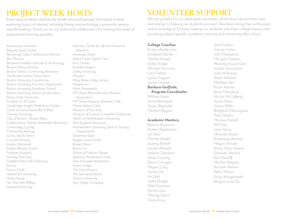# PROJECT WEEK HOSTS

Every year, students and faculty divide into small groups and spend a week exploring topics of interest including hiking, marine biology, community service, and filmmaking. Thank you to our hosts and collaborators for making this week of experiential learning possible.

*Automotive Solutions Bayside Expo Center* Becoming Cuba, *Calderwood Pavilion Ben Morrow Benjamin Franklin Institute of Technology Benson Henry Institute Boston Celtics Community Relations The Boston Harbor Association Boston University* Columbinus *Boston University Fine Arts Department Boston University Graduate School Boston University School of Education Bowie State University Comfort Inn & Suites Cambridge Insight Meditation Center Chad Johnson/Simpli Bar & Bites Cheney University City of Boston - Boston Bikes Collaborative Theater Ensemble Workshop Community Cycling Community Rowing Corbu Spa & Salon CrossFit Fenway Eastern Standard Empire Beauty School Faulkner Hospital Fenway Park Tour Franklin Park Golf Clubhouse from.us Future Chefs Habitat for Humanity Haley House Hip Hop with B/Boy Howard University*

*Hutchins Center for African-American Research Immanuel Jones Island Creek Oyster Farm Kroc Center Kuumba Singers Lesley University Mapale Mary Baker Eddy Library Mapparium Meta Movements MIT Sloan Black Business Student Association MIT Sloan Hispanic Business Club Mount Auburn Club Museum of Fine Arts Museum of Science Computer Clubhouse NASO at Northeastern University New England Aquarium Northeastern University Sport In Society Organization Quietman Gym Reggie Lewis Center Rosie's Place Rue La La School of Fashion Design Sephora, Prudential Center Sher-A-Punjab Restaurant Swann Lodge The Food Project The Garment District Towson University Tyric Stage Company*

# VOLUNTEER SUPPORT

We are grateful for our dedicated volunteers, all of whom devote their time and energy to helping our students succeed. Volunteers bring their enthusiasm and knowledge to Fenway, helping our students with their college essays and providing subject-specific academic tutoring and mentoring after school.

#### **College Coaches**

*Kristen Balderston Elizabeth Bartle Martha Bedell Sallie Dodge Michael Donovan Lora Farkas Lynne Gaynor Jamie Gossels Barbara Guilfoile, Program Coordinator William Haas*

*Anna Rehnquist Susan Reynolds Martha Wagner*

#### **Academic Mentors**

*Bianca Annoscia Kristen Balderston Jen Bao Martha Bedell Audrey Birke! Lauren Blewe! Valerie Cherbero Dean Conway Devin Corrigan Megan Coty Jackie Der An Dinh Sallie Dodge Mike Donovan Rachel Dua Melody Eaton Tessa Evoy*

*Zack Farkas Carson Fisher John Fitzpatrick Micayla Freehan Weilong (Louis) Gao Jordan Gunnelson Julia Holloway Aaron Kahlam Ma!hew Kerr Paula Kremer Anne Maasland Nicola McCafferty Jason Mejia James Miller Bridghid O'Donoghue Taka Okubo Marissa Palio!i Will Parr Jane Parris Miranda Quast Aishwarya Ramani Megan Schuler Amira Silver-Swartz Gitanjali Stevens Karl Vasiloff Martha Wagner Rachael Weiner Peter Wilson Emily Wingertzahn Hang (Lucas) Xu*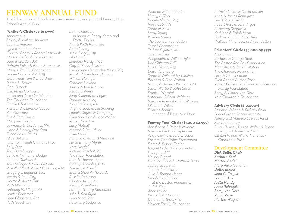## FENWAY ANNUAL FUND

The following individuals have given generously in support of Fenway High School's Annual Fund.

### **Panther's Circle (up to \$999)**

*Anonymous Shirley & William Andrews Sabrina Antoine Lynn & Stephen Baum Claritza Beato & Robert Laskowski Martha Bedell & David Dryer Jean & Gordon Bell Patricia Foley & Bruce Berman, Jr. Mary & Paul O. Boghossian Ivonne Borrero, P' 08, '15 Carol Hedstrom & Blair Brown Pierce B. Brown Gary Buseck C.E. Floyd Company Eloisa and Jose Centeio, P'15 The Charlo!e Foundation Emmie Chatzimanka Frances & Clarence Cooper Kim Crawford Sue & Tom Curtin Margaret Curtis Lawrence E. Darden, II, P'15 Linda & Harvey Davidson Eileen de los Reyes Alice DeLana Laurie & Joseph DePinho, P'05 Sally Dias Tory Dietel Hopps Sallie & Nathaniel Dodge Eleanor Duckworth Amy Selinger & Mark Elefante Priscilla Ellis & Robert Crabtree, P'10 Gregory J. Englund, Esq. Vanda & Paul Esty Norma & Aaron Fink Ruth Ellen Fitch Anthony M. Fitzgerald Jenifer Gausman Ileen Gladstone, P'12 Ruth Goodman*

*Bonnie Gordon,* in honor of Peggy Kemp and Dottie Engler *Ann & Keith Hammi!e Anita Handy Jesse Handy, '09 Lila Handy Laurlene Hardy, P'08 Gay & Richard Harter Guadalupe Hernandez-Melos, P'13 Rosalind & Richard Hinman William Holinger Caroline Holland Janice & Ralph James Peggy S. Kemp Judy & Jonathan Keyes Dagmar Koesling Tony LaCasse, P'16 Virginia Loeb & Jim Sperling Loomis, Sayles & Company Ellen Sarkisian & John Maher Robert Marston Lucy Metcalf Margot & Ray Miller Ellen Moot Mary Jo & Richard Murnane Leslie & Larry Mya! Vera Nordal Richard Paschal, P'14 The Pfizer Foundation Ruth & Thomas Piper Odallys Pomales, P '16 The Porter Family Stop & Shop A+ Rewards Ruselle Robinson Clayton Rosa, '04 Peggy Rosenberry Kathryn & Terry Rothermel Julie & Ron Ryan Lena Sco!, P'14 Rosemary Sedgwick*

*Amanda & Sco! Seider Nancy F. Sizer Bonnie Slayter, P'13 Perry C. Smith Sarah N. Smith Larry Spang William Speers The Spencer Foundation Target Corporation Tri-Star Equities, Inc. Tutein Family Anngene!e & William Tyler Uno Chicago Grill Luis E. Vasco, P'15 Be!y Vorenberg Sarah & Willoughby Walling Barbara & Fred Walton Nancy & Andrew Warren, P'02 Susan Werbe & John Bates Frank J. Wezniak Katherine & Sco! Wildman Susanne Rheault & Gill Williams Elizabeth Wilson Frances Zehmer,* in honor of Betsy Van Dorn

### **Fenway Fans' Circle (\$1,000-\$4,999)**

*Ann Beach & Peter McManus Susanne Beck & Billy Parker Andy Coville & John Brodeur Eastern Charitable Foundation Do!ie & Robert Engler Raquel Leder & Benjamin Esty Henry Ford III Nelson Gifford Rosalind Gorin & Ma!hew Budd Jeffrey Gray, P'01 Jane & John Guthrie Julie & Bayard Henry Keogh Family Fund at the Boston Foundation Judith King Anne Levine Kenneth R. Manning Donna Martinez, P '17 Novack Family Foundation*

*Patricia Nolan & David Rabkin Anna & James Rehnquist Lee & Russell Robb Robert Ross & John Argos Rosemary Sedgwick Kathleen & Ralph Verni Barbara & John Vogelstein Wallace Minot Leonard Foundation*

### **Educators' Circle (\$5,000-\$9,999)**

*Anonymous Barbara & George Beal The Boston Red Sox Foundation Mary Alice & Jack Callahan The Charlo!e Foundation Lora & Chuck Farkas Ellen Abbo! Gilman Trust Robert G. Segal and Janice L. Sherman Family Foundation Betsy & Walter Van Dorn Yale Charitable Foundation*

### **Advisory Circle (\$10,000+)**

*Rosanne O'Brien & Richard Belin Dana-Farber Cancer Institute Nancy and Maurice Lazarus Fund Sue Rothenberg Susan Bonsall, for the Walter S. Rosenberry, III Charitable Trust Clinton H. and Wilma T. Sha!uck Charitable Trust*

### Development Committee

*Dick Belin, Chair Barbara Beal Martha Bedell Mary Alice Callahan Do!ie Engler John C. Esty Jr. Lora Farkas Anita Handy Anna Rehnquist Betsy Van Dorn Ralph Verni Martha Wagner*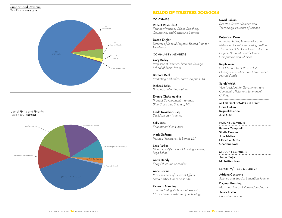



### Board of Trustees 2013-2014

#### CO-CHAIRS

Robert Ross, Ph.D. *Founder/Principal, RRoss Coaching, Counseling, and Consulting Services*

Dottie Engler *Director of Special Projects, Boston Plan for* 

*Excellence* **COMMUNITY MEMBERS** 

Gary Bailey *Professor of Practice, Simmons College School of Social Work*

Barbara Beal *Marketing and Sales, Sara Campbell Ltd.*

Richard Belin *Principal, Belin Biographies*

Emmie Chatzimanika *Product Development Manager, Blue Cross Blue Shield of MA*

Linda Davidson, Esq. *Davidson Law Practice*

Sally Dias *Educational Consultant*

Mark Elefante *Partner, Hemenway & Barnes LLP*

Lora Farkas *Director of A"er School Tutoring, Fenway High School*

Anita Handy *Early Education Specialist*

Anne Levine *Vice President of External Affairs, Dana-Farber Cancer Institute*

Kenneth Manning *Thomas Meloy Professor of Rhetoric, Massachuse!s Institute of Technology*

#### David Rabkin

*Director, Current Science and Technology, Museum of Science*

#### Betsy Van Dorn

*Founding Editor, Family Education Network; Docent, Discovering Justice: The James D. St. Clair Court Education Project; National Board Member, Compassion and Choices*

#### Ralph Verni

*CEO, State Street Research & Management; Chairman, Eaton Vance Mutual Funds*

Sarah Welsh

*Vice President for Government and Community Relations, Emmanuel College*

*----------------------------------------------------------*

MIT SLOAN BOARD FELLOWS Chris Cullen Reginald Farina Julia Gitis

PARENT MEMBERS Pamela Campbell Sheila Cooper Jose Matias Maricela Matos Charlene Ross

STUDENT MEMBERS Jason Mejia Minh-Hieu Tran

FACULTY/STAFF MEMBERS Adriana Costache *Science and Special Education Teacher*

Dagmar Koesling *Math Teacher and House Coordinator*

Jessie Lortie *Humanities Teacher*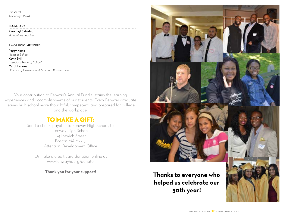#### Eva Zaret

*Americorps VISTA*

#### **SECRETARY**

Rawchayl Sahadeo

*Humanities Teacher*

#### EX-OFFICIO MEMBERS

Peggy Kemp *Head of School* Kevin Brill *Associate Head of School* Carol Lazarus

*Director of Development & School Partnerships*

Your contribution to Fenway's Annual Fund sustains the learning experiences and accomplishments of our students. Every Fenway graduate leaves high school more thoughtful, competent, and prepared for college and the workplace.

### to make a gift:

Send a check, payable to Fenway High School, to: Fenway High School 174 Ipswich Street Boston MA 02215, Attention: Development Office

Or make a credit card donation online at www.fenwayhs.org/donate.

**Thank you for your support! Thanks to everyone who helped us celebrate our 30th year!**